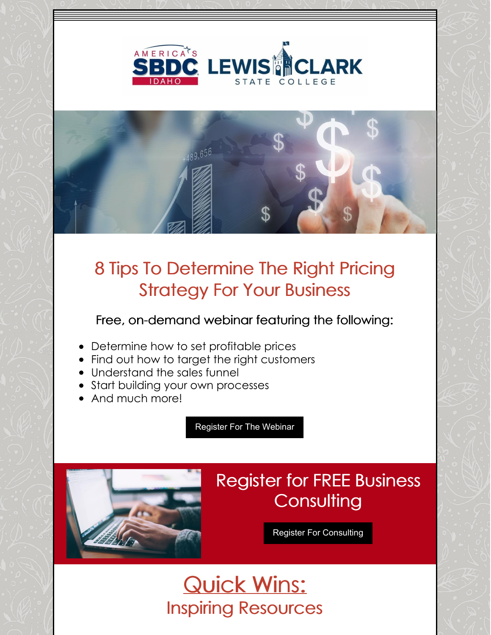



## 8 Tips To Determine The Right Pricing Strategy For Your Business

Free, on-demand webinar featuring the following:

- Determine how to set profitable prices
- Find out how to target the right customers
- Understand the sales funnel
- Start building your own processes
- And much more!

[Register](https://business.idahosbdc.org/reg.aspx?mode=event&event=30420004) For The Webinar



## Register for FREE Business **Consulting**

Register For [Consulting](https://idahosbdc.org/locations/)

Quick Wins: Inspiring Resources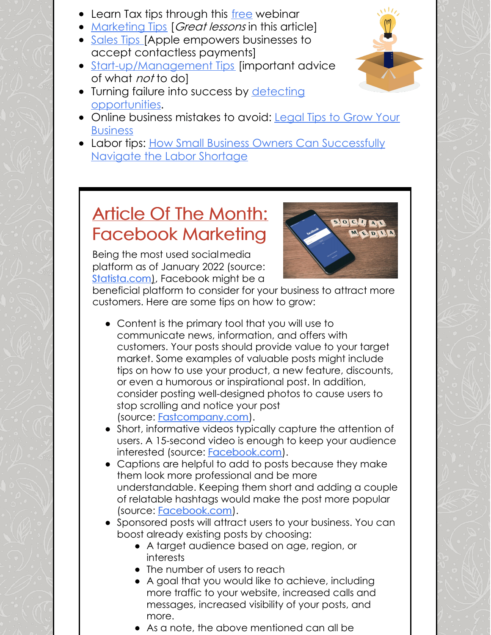- Learn Tax tips through this [free](https://www.irs.gov/businesses/small-businesses-self-employed/webinars-for-small-businesses?utm_medium=email&utm_source=govdelivery#Hearing All Voices (HAV) 2022) webinar
- [Marketing](https://www.msn.com/en-us/money/companies/this-35-year-old-mom-quit-her-job-to-work-on-her-ebay-side-hustle-full-time-e2-80-94and-made-24141-million-in-sales-last-year/ar-AATCcXM?ocid=BingNewsSearch) Tips [Great lessons in this article]
- [Sales](https://www.inc.com/jason-aten/apple-just-quietly-introduced-a-feature-to-your-iphone-that-is-going-to-upend-this-17-trillion-industry.html) Tips [Apple empowers businesses to accept contactless payments]
- [Start-up/Management](https://www.msn.com/en-us/money/smallbusiness/peloton-e2-80-99s-ceo-quit-after-laying-off-2800-people-it-e2-80-99s-a-brutal-lesson-about-how-not-to-lead/ar-AATDXYu?ocid=uxbndlbing) Tips [important advice of what *not* to do]
- Turning failure into success by detecting [opportunities.](https://www.youtube.com/watch?v=WLvNxUzo5zk)
- Online business [mistakes](https://www.youtube.com/watch?v=XjkLnnool74) to avoid: Legal Tips to Grow Your **Business**
- Labor tips: How Small Business Owners Can [Successfully](https://www.americanexpress.com/en-us/business/trends-and-insights/articles/how-small-business-owners-can-successfully-navigate-the-labor-shortage/?extlink=em-us-bti-newsletter-checkerboard1-article-o) Navigate the Labor Shortage

## Article Of The Month: Facebook Marketing

Being the most used socialmedia platform as of January 2022 (source: [Statista.com](https://www.statista.com/statistics/272014/global-social-networks-ranked-by-number-of-users/)), Facebook might be a



beneficial platform to consider for your business to attract more customers. Here are some tips on how to grow:

- Content is the primary tool that you will use to communicate news, information, and offers with customers. Your posts should provide value to your target market. Some examples of valuable posts might include tips on how to use your product, a new feature, discounts, or even a humorous or inspirational post. In addition, consider posting well-designed photos to cause users to stop scrolling and notice your post (source: [Fastcompany.com](https://www.fastcompany.com/3022301/7-powerful-facebook-statistics-you-should-know-about)).
- Short, informative videos typically capture the attention of users. A 15-second video is enough to keep your audience interested (source: [Facebook.com](https://www.facebook.com/business/help/144240239372256?id=603833089963720)).
- Captions are helpful to add to posts because they make them look more professional and be more understandable. Keeping them short and adding a couple of relatable hashtags would make the post more popular (source: [Facebook.com](https://www.facebook.com/formedia/blog/using-hashtags-on-facebook)).
- Sponsored posts will attract users to your business. You can boost already existing posts by choosing:
	- A target audience based on age, region, or interests
	- The number of users to reach
	- A goal that you would like to achieve, including more traffic to your website, increased calls and messages, increased visibility of your posts, and more.
	- As a note, the above mentioned can all be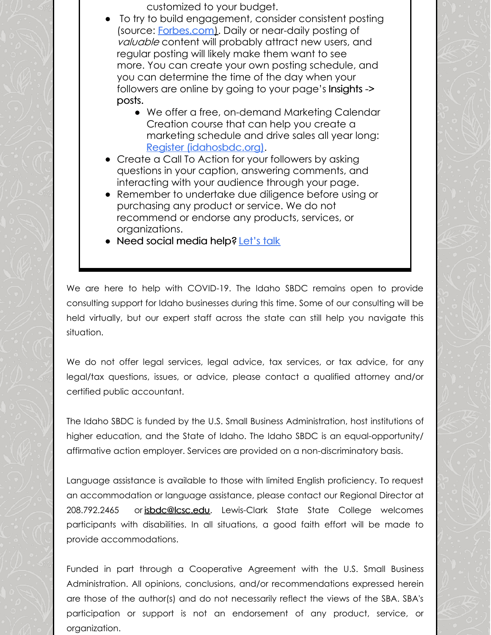customized to your budget.

- To try to build engagement, consider consistent posting (source: [Forbes.com](https://www.forbes.com/sites/forbesagencycouncil/2019/02/11/why-content-consistency-is-key-to-your-marketing-strategy/?sh=190c14eb4ef5)). Daily or near-daily posting of valuable content will probably attract new users, and regular posting will likely make them want to see more. You can create your own posting schedule, and you can determine the time of the day when your followers are online by going to your page's Insights -> posts.
	- We offer a free, on-demand Marketing Calendar Creation course that can help you create a marketing schedule and drive sales all year long: Register [\(idahosbdc.org\)](https://business.idahosbdc.org/reg.aspx?mode=event&event=30420002).
- Create a Call To Action for your followers by asking questions in your caption, answering comments, and interacting with your audience through your page.
- Remember to undertake due diligence before using or purchasing any product or service. We do not recommend or endorse any products, services, or organizations.
- Need social media help? [Let's](https://business.idahosbdc.org/reg.aspx?mode=counsel¢er=3030&subloc=0) talk

We are here to help with COVID-19. The Idaho SBDC remains open to provide consulting support for Idaho businesses during this time. Some of our consulting will be held virtually, but our expert staff across the state can still help you navigate this situation.

We do not offer legal services, legal advice, tax services, or tax advice, for any legal/tax questions, issues, or advice, please contact a qualified attorney and/or certified public accountant.

The Idaho SBDC is funded by the U.S. Small Business Administration, host institutions of higher education, and the State of Idaho. The Idaho SBDC is an equal-opportunity/ affirmative action employer. Services are provided on a non-discriminatory basis.

Language assistance is available to those with limited English proficiency. To request an accommodation or language assistance, please contact our Regional Director at 208.792.2465 or [isbdc@lcsc.edu](mailto:isbdc@lcsc.edu). Lewis-Clark State State College welcomes participants with disabilities. In all situations, a good faith effort will be made to provide accommodations.

Funded in part through a Cooperative Agreement with the U.S. Small Business Administration. All opinions, conclusions, and/or recommendations expressed herein are those of the author(s) and do not necessarily reflect the views of the SBA. SBA's participation or support is not an endorsement of any product, service, or organization.